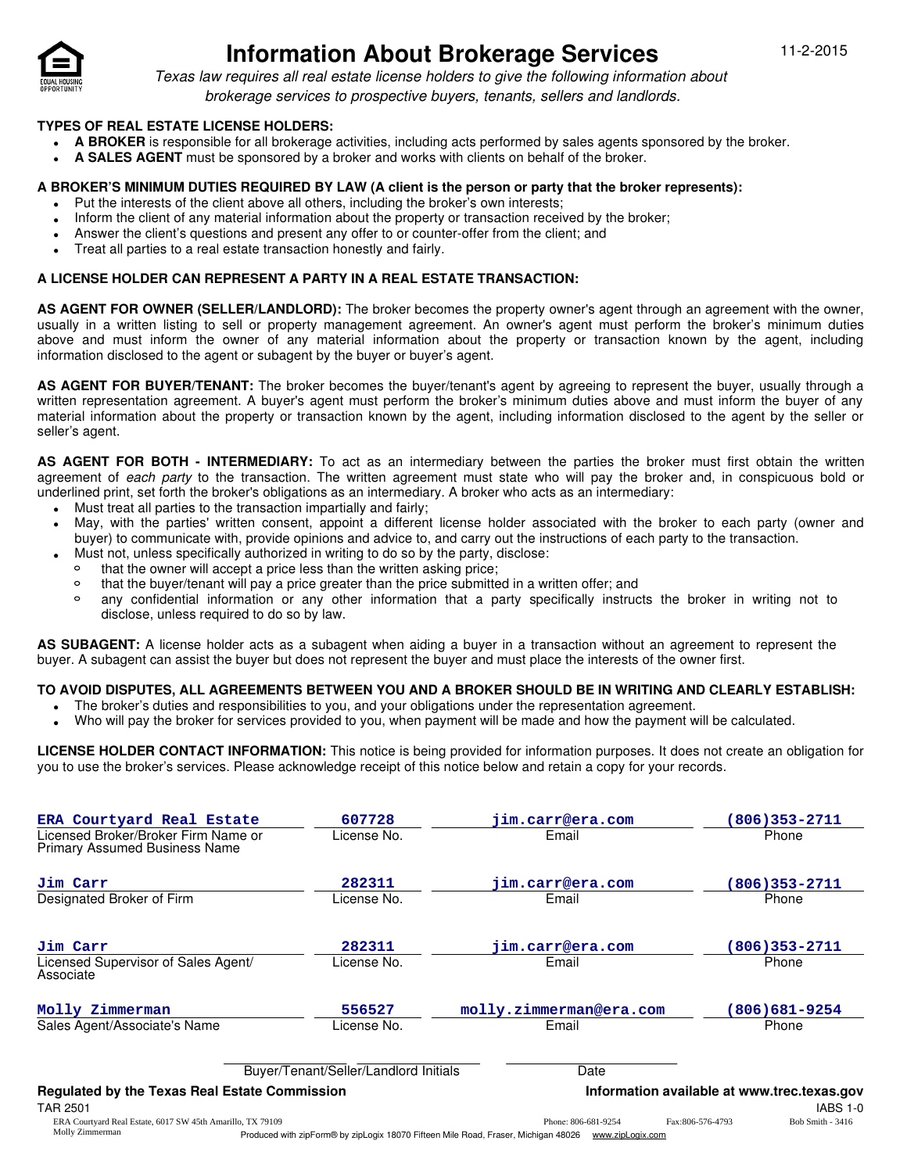

**•**

Molly Zimmerman

# **Information About Brokerage Services** 11-2-2015

Texas law requires all real estate license holders to give the following information about brokerage services to prospective buyers, tenants, sellers and landlords.

### **TYPES OF REAL ESTATE LICENSE HOLDERS:**

- **A BROKER** is responsible for all brokerage activities, including acts performed by sales agents sponsored by the broker. **•**
- **A SALES AGENT** must be sponsored by a broker and works with clients on behalf of the broker. **•**

#### **A BROKER'S MINIMUM DUTIES REQUIRED BY LAW (A client is the person or party that the broker represents):**

- Put the interests of the client above all others, including the broker's own interests;
- Inform the client of any material information about the property or transaction received by the broker; **•**
- Answer the client's questions and present any offer to or counter-offer from the client; and **•**
- Treat all parties to a real estate transaction honestly and fairly. **•**

### **A LICENSE HOLDER CAN REPRESENT A PARTY IN A REAL ESTATE TRANSACTION:**

**AS AGENT FOR OWNER (SELLER/LANDLORD):** The broker becomes the property owner's agent through an agreement with the owner, usually in a written listing to sell or property management agreement. An owner's agent must perform the broker's minimum duties above and must inform the owner of any material information about the property or transaction known by the agent, including information disclosed to the agent or subagent by the buyer or buyer's agent.

**AS AGENT FOR BUYER/TENANT:** The broker becomes the buyer/tenant's agent by agreeing to represent the buyer, usually through a written representation agreement. A buyer's agent must perform the broker's minimum duties above and must inform the buyer of any material information about the property or transaction known by the agent, including information disclosed to the agent by the seller or seller's agent.

**AS AGENT FOR BOTH - INTERMEDIARY:** To act as an intermediary between the parties the broker must first obtain the written agreement of each party to the transaction. The written agreement must state who will pay the broker and, in conspicuous bold or underlined print, set forth the broker's obligations as an intermediary. A broker who acts as an intermediary:

- Must treat all parties to the transaction impartially and fairly; **•**
- May, with the parties' written consent, appoint a different license holder associated with the broker to each party (owner and buyer) to communicate with, provide opinions and advice to, and carry out the instructions of each party to the transaction. **•**
	- Must not, unless specifically authorized in writing to do so by the party, disclose:<br>that the owner will accent a price less than the written asking price:
	- that the owner will accept a price less than the written asking price;
	- $\circ$ that the buyer/tenant will pay a price greater than the price submitted in a written offer; and
	- $\circ$ any confidential information or any other information that a party specifically instructs the broker in writing not to disclose, unless required to do so by law.

**AS SUBAGENT:** A license holder acts as a subagent when aiding a buyer in a transaction without an agreement to represent the buyer. A subagent can assist the buyer but does not represent the buyer and must place the interests of the owner first.

## **TO AVOID DISPUTES, ALL AGREEMENTS BETWEEN YOU AND A BROKER SHOULD BE IN WRITING AND CLEARLY ESTABLISH:**

- The broker's duties and responsibilities to you, and your obligations under the representation agreement.
- Who will pay the broker for services provided to you, when payment will be made and how the payment will be calculated. **•**

**LICENSE HOLDER CONTACT INFORMATION:** This notice is being provided for information purposes. It does not create an obligation for you to use the broker's services. Please acknowledge receipt of this notice below and retain a copy for your records.

| ERA Courtyard Real Estate<br>Licensed Broker/Broker Firm Name or<br><b>Primary Assumed Business Name</b> | 607728<br>License No.                 | jim.carr@era.com<br>Email | 806)353-2711<br>Phone                       |
|----------------------------------------------------------------------------------------------------------|---------------------------------------|---------------------------|---------------------------------------------|
| Jim Carr<br>Designated Broker of Firm                                                                    | 282311<br>License No.                 | jim.carr@era.com<br>Email | $806)353 - 2711$<br>Phone                   |
| Jim Carr<br>Licensed Supervisor of Sales Agent/<br>Associate                                             | 282311<br>License No.                 | jim.carr@era.com<br>Email | $806)353 - 2711$<br>Phone                   |
| Molly Zimmerman                                                                                          | 556527                                | molly.zimmerman@era.com   | (806)681-9254                               |
| Sales Agent/Associate's Name                                                                             | License No.                           | Email                     | Phone                                       |
|                                                                                                          | Buyer/Tenant/Seller/Landlord Initials | Date                      |                                             |
| <b>Regulated by the Texas Real Estate Commission</b>                                                     |                                       |                           | Information available at www.trec.texas.gov |
| <b>TAR 2501</b>                                                                                          |                                       |                           | <b>IABS 1-0</b>                             |
| ERA Courtyard Real Estate, 6017 SW 45th Amarillo, TX 79109                                               |                                       | Phone: 806-681-9254       | Bob Smith - 3416<br>Fax:806-576-4793        |

Produced with zipForm® by zipLogix 18070 Fifteen Mile Road, Fraser, Michigan 48026 www.zipLogix.com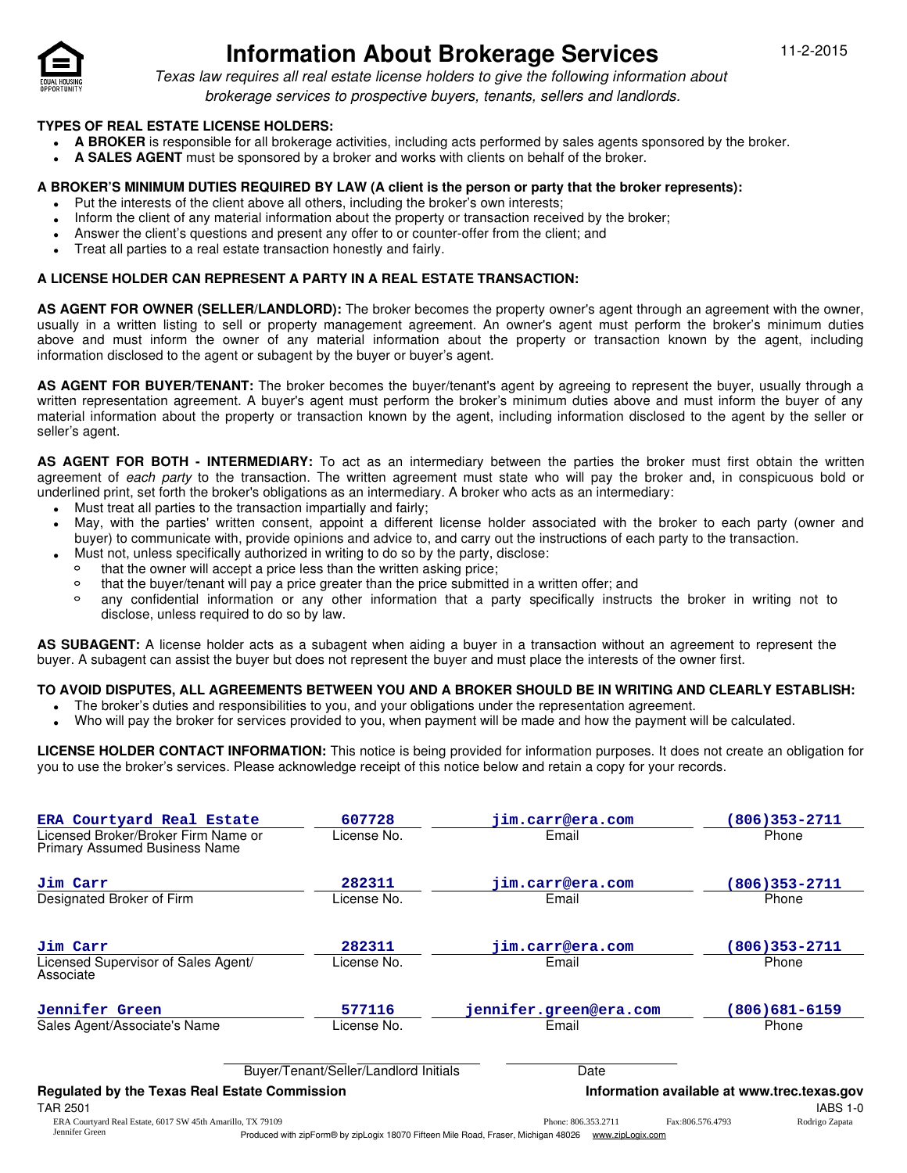

**•**

# **Information About Brokerage Services** 11-2-2015

Texas law requires all real estate license holders to give the following information about brokerage services to prospective buyers, tenants, sellers and landlords.

### **TYPES OF REAL ESTATE LICENSE HOLDERS:**

- **A BROKER** is responsible for all brokerage activities, including acts performed by sales agents sponsored by the broker. **•**
- **A SALES AGENT** must be sponsored by a broker and works with clients on behalf of the broker. **•**

#### **A BROKER'S MINIMUM DUTIES REQUIRED BY LAW (A client is the person or party that the broker represents):**

- Put the interests of the client above all others, including the broker's own interests;
- Inform the client of any material information about the property or transaction received by the broker; **•**
- Answer the client's questions and present any offer to or counter-offer from the client; and **•**
- Treat all parties to a real estate transaction honestly and fairly. **•**

### **A LICENSE HOLDER CAN REPRESENT A PARTY IN A REAL ESTATE TRANSACTION:**

**AS AGENT FOR OWNER (SELLER/LANDLORD):** The broker becomes the property owner's agent through an agreement with the owner, usually in a written listing to sell or property management agreement. An owner's agent must perform the broker's minimum duties above and must inform the owner of any material information about the property or transaction known by the agent, including information disclosed to the agent or subagent by the buyer or buyer's agent.

**AS AGENT FOR BUYER/TENANT:** The broker becomes the buyer/tenant's agent by agreeing to represent the buyer, usually through a written representation agreement. A buyer's agent must perform the broker's minimum duties above and must inform the buyer of any material information about the property or transaction known by the agent, including information disclosed to the agent by the seller or seller's agent.

**AS AGENT FOR BOTH - INTERMEDIARY:** To act as an intermediary between the parties the broker must first obtain the written agreement of each party to the transaction. The written agreement must state who will pay the broker and, in conspicuous bold or underlined print, set forth the broker's obligations as an intermediary. A broker who acts as an intermediary:

- Must treat all parties to the transaction impartially and fairly; **•**
- May, with the parties' written consent, appoint a different license holder associated with the broker to each party (owner and buyer) to communicate with, provide opinions and advice to, and carry out the instructions of each party to the transaction. **•**
	- Must not, unless specifically authorized in writing to do so by the party, disclose:<br>that the owner will accent a price less than the written asking price:
	- that the owner will accept a price less than the written asking price;
	- $\circ$ that the buyer/tenant will pay a price greater than the price submitted in a written offer; and
	- $\circ$ any confidential information or any other information that a party specifically instructs the broker in writing not to disclose, unless required to do so by law.

**AS SUBAGENT:** A license holder acts as a subagent when aiding a buyer in a transaction without an agreement to represent the buyer. A subagent can assist the buyer but does not represent the buyer and must place the interests of the owner first.

## **TO AVOID DISPUTES, ALL AGREEMENTS BETWEEN YOU AND A BROKER SHOULD BE IN WRITING AND CLEARLY ESTABLISH:**

- The broker's duties and responsibilities to you, and your obligations under the representation agreement.
- Who will pay the broker for services provided to you, when payment will be made and how the payment will be calculated. **•**

**LICENSE HOLDER CONTACT INFORMATION:** This notice is being provided for information purposes. It does not create an obligation for you to use the broker's services. Please acknowledge receipt of this notice below and retain a copy for your records.

| ERA Courtyard Real Estate                                                     | 607728                                                                                                | jim.carr@era.com       |                                             | 806)353-2711   |
|-------------------------------------------------------------------------------|-------------------------------------------------------------------------------------------------------|------------------------|---------------------------------------------|----------------|
| Licensed Broker/Broker Firm Name or<br><b>Primary Assumed Business Name</b>   | License No.                                                                                           | Email                  |                                             | Phone          |
| Jim Carr                                                                      | 282311                                                                                                | jim.carr@era.com       |                                             | 806)353-2711   |
| Designated Broker of Firm                                                     | License No.                                                                                           | Email                  |                                             | Phone          |
| Jim Carr                                                                      | 282311                                                                                                | jim.carr@era.com       |                                             | 806)353-2711   |
| Licensed Supervisor of Sales Agent/<br>Associate                              | License No.                                                                                           | Email                  |                                             | Phone          |
| Jennifer Green                                                                | 577116                                                                                                | jennifer.green@era.com |                                             | 806)681-6159   |
| Sales Agent/Associate's Name                                                  | License No.                                                                                           | Email                  |                                             | Phone          |
|                                                                               | Buyer/Tenant/Seller/Landlord Initials                                                                 | Date                   |                                             |                |
| <b>Regulated by the Texas Real Estate Commission</b>                          |                                                                                                       |                        | Information available at www.trec.texas.gov |                |
| <b>TAR 2501</b>                                                               |                                                                                                       |                        |                                             | IABS 1-0       |
| ERA Courtyard Real Estate, 6017 SW 45th Amarillo, TX 79109<br>Iennifer Green- | Decelerate the Component of the 40070 Citizen Mill David Correlations 40000 - consistent and contract | Phone: 806.353.2711    | Fax:806.576.4793                            | Rodrigo Zapata |

Produced with zipForm® by zipLogix 18070 Fifteen Mile Road, Fraser, Michigan 48026 www.zipLogix.com